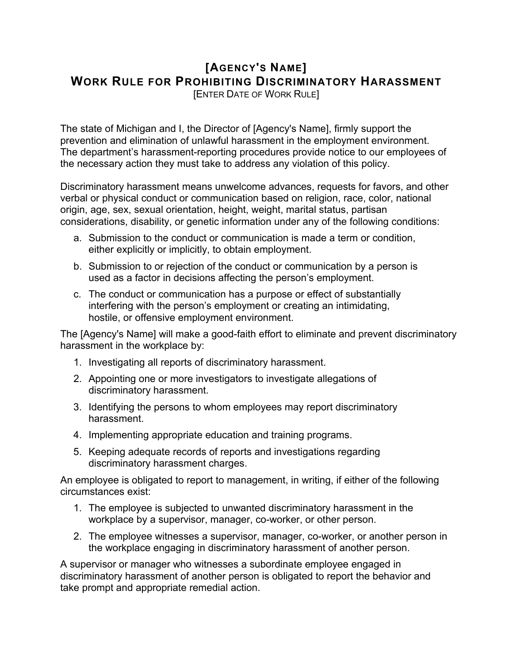## **[AGENCY'S NAME] WORK RULE FOR PROHIBITING DISCRIMINATORY HARASSMENT**

[ENTER DATE OF WORK RULE]

The state of Michigan and I, the Director of [Agency's Name], firmly support the prevention and elimination of unlawful harassment in the employment environment. The department's harassment-reporting procedures provide notice to our employees of the necessary action they must take to address any violation of this policy.

Discriminatory harassment means unwelcome advances, requests for favors, and other verbal or physical conduct or communication based on religion, race, color, national origin, age, sex, sexual orientation, height, weight, marital status, partisan considerations, disability, or genetic information under any of the following conditions:

- a. Submission to the conduct or communication is made a term or condition, either explicitly or implicitly, to obtain employment.
- b. Submission to or rejection of the conduct or communication by a person is used as a factor in decisions affecting the person's employment.
- c. The conduct or communication has a purpose or effect of substantially interfering with the person's employment or creating an intimidating, hostile, or offensive employment environment.

The [Agency's Name] will make a good-faith effort to eliminate and prevent discriminatory harassment in the workplace by:

- 1. Investigating all reports of discriminatory harassment.
- 2. Appointing one or more investigators to investigate allegations of discriminatory harassment.
- 3. Identifying the persons to whom employees may report discriminatory harassment.
- 4. Implementing appropriate education and training programs.
- 5. Keeping adequate records of reports and investigations regarding discriminatory harassment charges.

An employee is obligated to report to management, in writing, if either of the following circumstances exist:

- 1. The employee is subjected to unwanted discriminatory harassment in the workplace by a supervisor, manager, co-worker, or other person.
- 2. The employee witnesses a supervisor, manager, co-worker, or another person in the workplace engaging in discriminatory harassment of another person.

A supervisor or manager who witnesses a subordinate employee engaged in discriminatory harassment of another person is obligated to report the behavior and take prompt and appropriate remedial action.